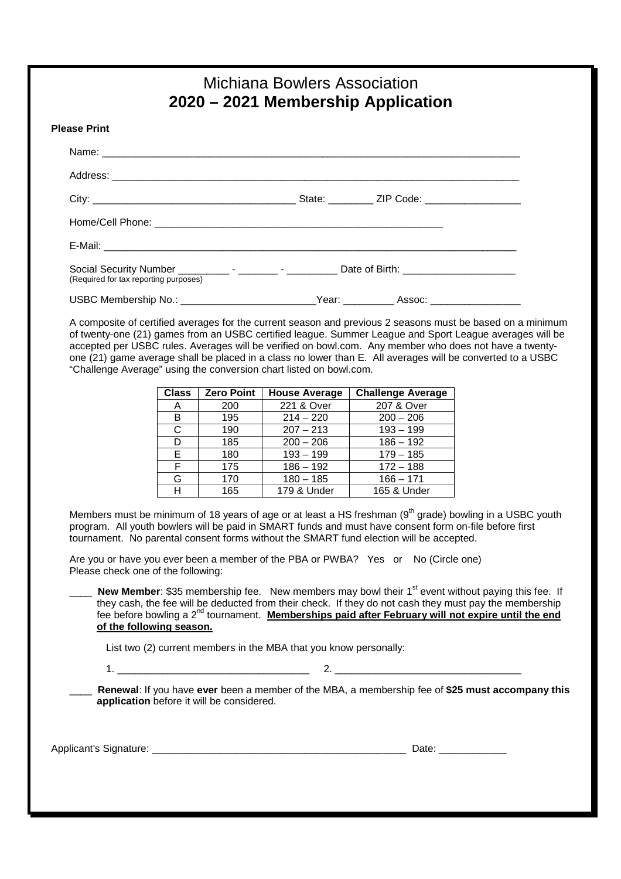|                                                                                   | Michiana Bowlers Association<br>2020 – 2021 Membership Application |  |  |
|-----------------------------------------------------------------------------------|--------------------------------------------------------------------|--|--|
| <b>Please Print</b>                                                               |                                                                    |  |  |
|                                                                                   |                                                                    |  |  |
|                                                                                   |                                                                    |  |  |
|                                                                                   |                                                                    |  |  |
|                                                                                   |                                                                    |  |  |
|                                                                                   |                                                                    |  |  |
| (Required for tax reporting purposes)                                             |                                                                    |  |  |
| USBC Membership No.: __________________________Year: ___________Assoc: __________ |                                                                    |  |  |

A composite of certified averages for the current season and previous 2 seasons must be based on a minimum of twenty-one (21) games from an USBC certified league. Summer League and Sport League averages will be accepted per USBC rules. Averages will be verified on bowl.com. Any member who does not have a twentyone (21) game average shall be placed in a class no lower than E. All averages will be converted to a USBC "Challenge Average" using the conversion chart listed on bowl.com.

| <b>Class</b> | <b>Zero Point</b> | <b>House Average</b> | <b>Challenge Average</b> |
|--------------|-------------------|----------------------|--------------------------|
| $\mathsf{A}$ | 200               | 221 & Over           | 207 & Over               |
| B            | 195               | $214 - 220$          | $200 - 206$              |
| C            | 190               | $207 - 213$          | $193 - 199$              |
| D            | 185               | $200 - 206$          | $186 - 192$              |
| E            | 180               | $193 - 199$          | $179 - 185$              |
| F            | 175               | $186 - 192$          | $172 - 188$              |
| G            | 170               | $180 - 185$          | $166 - 171$              |
| н            | 165               | 179 & Under          | 165 & Under              |

Members must be minimum of 18 years of age or at least a HS freshman  $(9<sup>th</sup>$  grade) bowling in a USBC youth program. All youth bowlers will be paid in SMART funds and must have consent form on-file before first tournament. No parental consent forms without the SMART fund election will be accepted.

Are you or have you ever been a member of the PBA or PWBA? Yes or No (Circle one) Please check one of the following:

**New Member**: \$35 membership fee. New members may bowl their 1<sup>st</sup> event without paying this fee. If they cash, the fee will be deducted from their check. If they do not cash they must pay the membership fee before bowling a 2nd tournament. **Memberships paid after February will not expire until the end of the following season.** 

List two (2) current members in the MBA that you know personally:

1. \_\_\_\_\_\_\_\_\_\_\_\_\_\_\_\_\_\_\_\_\_\_\_\_\_\_\_\_\_\_\_\_\_\_ 2. \_\_\_\_\_\_\_\_\_\_\_\_\_\_\_\_\_\_\_\_\_\_\_\_\_\_\_\_\_\_\_\_\_

\_\_\_\_ **Renewal**: If you have **ever** been a member of the MBA, a membership fee of **\$25 must accompany this application** before it will be considered.

Applicant's Signature: \_\_\_\_\_\_\_\_\_\_\_\_\_\_\_\_\_\_\_\_\_\_\_\_\_\_\_\_\_\_\_\_\_\_\_\_\_\_\_\_\_\_\_\_\_ Date: \_\_\_\_\_\_\_\_\_\_\_\_